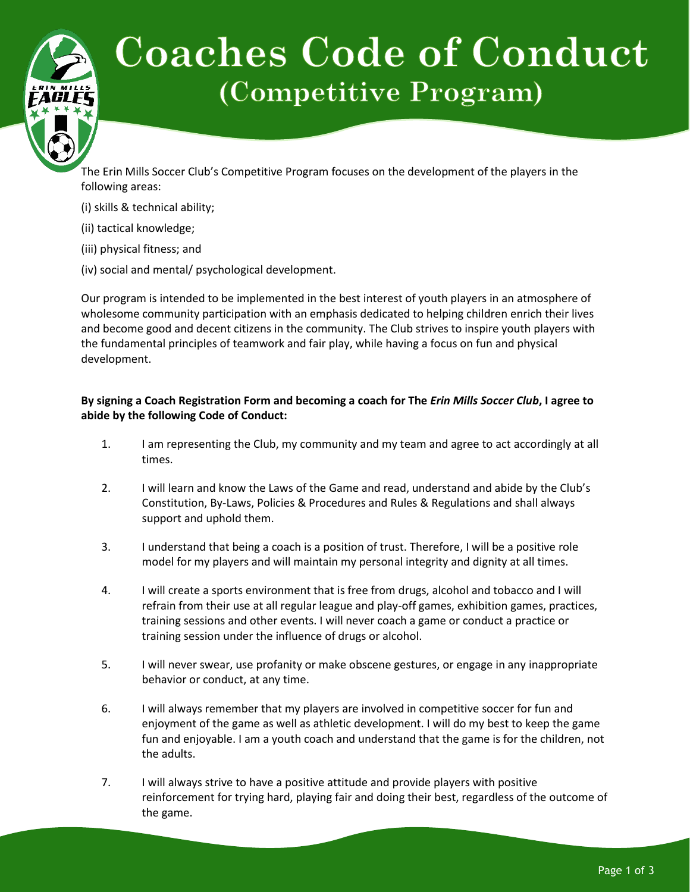## **Coaches Code of Conduct** (Competitive Program)

The Erin Mills Soccer Club's Competitive Program focuses on the development of the players in the following areas:

- (i) skills & technical ability;
- (ii) tactical knowledge;
- (iii) physical fitness; and
- (iv) social and mental/ psychological development.

Our program is intended to be implemented in the best interest of youth players in an atmosphere of wholesome community participation with an emphasis dedicated to helping children enrich their lives and become good and decent citizens in the community. The Club strives to inspire youth players with the fundamental principles of teamwork and fair play, while having a focus on fun and physical development.

## **By signing a Coach Registration Form and becoming a coach for The** *Erin Mills Soccer Club***, I agree to abide by the following Code of Conduct:**

- 1. I am representing the Club, my community and my team and agree to act accordingly at all times.
- 2. I will learn and know the Laws of the Game and read, understand and abide by the Club's Constitution, By-Laws, Policies & Procedures and Rules & Regulations and shall always support and uphold them.
- 3. I understand that being a coach is a position of trust. Therefore, I will be a positive role model for my players and will maintain my personal integrity and dignity at all times.
- 4. I will create a sports environment that is free from drugs, alcohol and tobacco and I will refrain from their use at all regular league and play-off games, exhibition games, practices, training sessions and other events. I will never coach a game or conduct a practice or training session under the influence of drugs or alcohol.
- 5. I will never swear, use profanity or make obscene gestures, or engage in any inappropriate behavior or conduct, at any time.
- 6. I will always remember that my players are involved in competitive soccer for fun and enjoyment of the game as well as athletic development. I will do my best to keep the game fun and enjoyable. I am a youth coach and understand that the game is for the children, not the adults.
- 7. I will always strive to have a positive attitude and provide players with positive reinforcement for trying hard, playing fair and doing their best, regardless of the outcome of the game.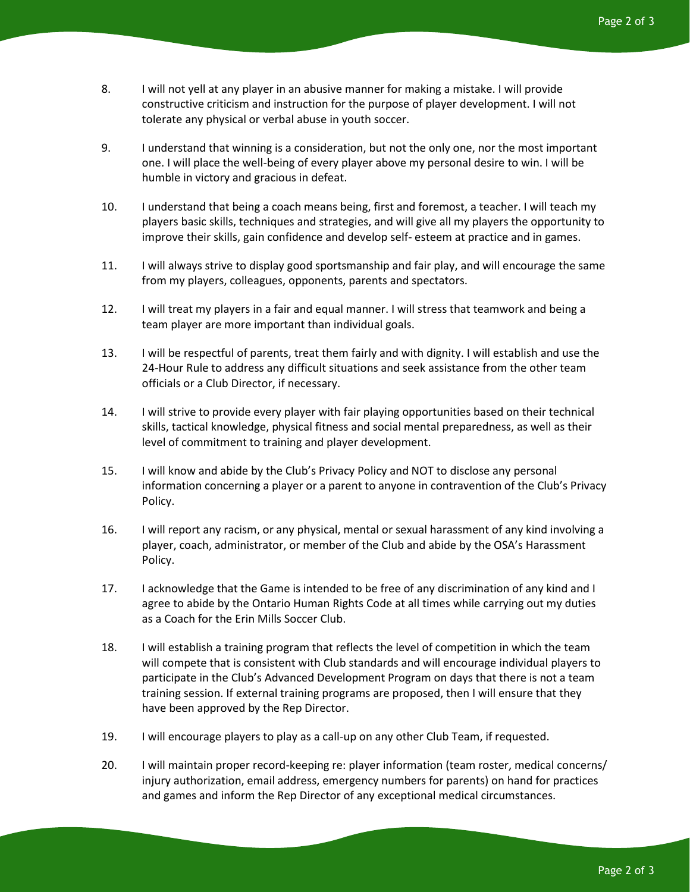- 8. I will not yell at any player in an abusive manner for making a mistake. I will provide constructive criticism and instruction for the purpose of player development. I will not tolerate any physical or verbal abuse in youth soccer.
- 9. I understand that winning is a consideration, but not the only one, nor the most important one. I will place the well-being of every player above my personal desire to win. I will be humble in victory and gracious in defeat.
- 10. I understand that being a coach means being, first and foremost, a teacher. I will teach my players basic skills, techniques and strategies, and will give all my players the opportunity to improve their skills, gain confidence and develop self- esteem at practice and in games.
- 11. I will always strive to display good sportsmanship and fair play, and will encourage the same from my players, colleagues, opponents, parents and spectators.
- 12. I will treat my players in a fair and equal manner. I will stress that teamwork and being a team player are more important than individual goals.
- 13. I will be respectful of parents, treat them fairly and with dignity. I will establish and use the 24-Hour Rule to address any difficult situations and seek assistance from the other team officials or a Club Director, if necessary.
- 14. I will strive to provide every player with fair playing opportunities based on their technical skills, tactical knowledge, physical fitness and social mental preparedness, as well as their level of commitment to training and player development.
- 15. I will know and abide by the Club's Privacy Policy and NOT to disclose any personal information concerning a player or a parent to anyone in contravention of the Club's Privacy Policy.
- 16. I will report any racism, or any physical, mental or sexual harassment of any kind involving a player, coach, administrator, or member of the Club and abide by the OSA's Harassment Policy.
- 17. I acknowledge that the Game is intended to be free of any discrimination of any kind and I agree to abide by the Ontario Human Rights Code at all times while carrying out my duties as a Coach for the Erin Mills Soccer Club.
- 18. I will establish a training program that reflects the level of competition in which the team will compete that is consistent with Club standards and will encourage individual players to participate in the Club's Advanced Development Program on days that there is not a team training session. If external training programs are proposed, then I will ensure that they have been approved by the Rep Director.
- 19. I will encourage players to play as a call-up on any other Club Team, if requested.
- 20. I will maintain proper record-keeping re: player information (team roster, medical concerns/ injury authorization, email address, emergency numbers for parents) on hand for practices and games and inform the Rep Director of any exceptional medical circumstances.